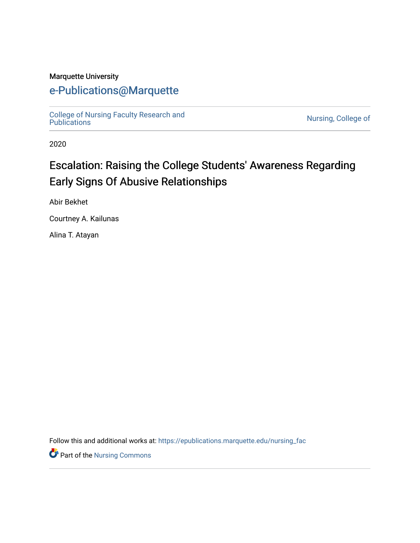# Marquette University

# [e-Publications@Marquette](https://epublications.marquette.edu/)

[College of Nursing Faculty Research and](https://epublications.marquette.edu/nursing_fac)

Nursing, College of

2020

# Escalation: Raising the College Students' Awareness Regarding Early Signs Of Abusive Relationships

Abir Bekhet

Courtney A. Kailunas

Alina T. Atayan

Follow this and additional works at: [https://epublications.marquette.edu/nursing\\_fac](https://epublications.marquette.edu/nursing_fac?utm_source=epublications.marquette.edu%2Fnursing_fac%2F784&utm_medium=PDF&utm_campaign=PDFCoverPages)

Part of the [Nursing Commons](http://network.bepress.com/hgg/discipline/718?utm_source=epublications.marquette.edu%2Fnursing_fac%2F784&utm_medium=PDF&utm_campaign=PDFCoverPages)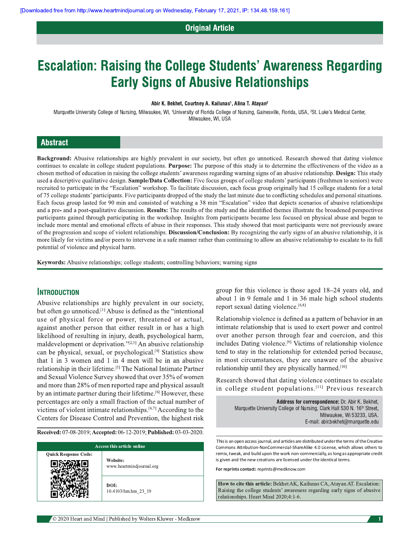# **Original Article**

# **Escalation: Raising the College Students' Awareness Regarding Early Signs of Abusive Relationships**

#### Abir K. Bekhet, Courtney A. Kailunas<sup>1</sup>, Alina T. Atayan<sup>2</sup>

Marquette University College of Nursing, Milwaukee, WI, <sup>1</sup>University of Florida College of Nursing, Gainesville, Florida, USA, <sup>2</sup>St. Luke's Medical Center, Milwaukee, WI, USA

#### **Abstract**

Background: Abusive relationships are highly prevalent in our society, but often go unnoticed. Research showed that dating violence continues to escalate in college student populations. Purpose: The purpose of this study is to determine the effectiveness of the video as a chosen method of education in raising the college students' awareness regarding warning signs of an abusive relationship. Design: This study used a descriptive qualitative design. Sample/Data Collection: Five focus groups of college students' participants (freshmen to seniors) were recruited to participate in the "Escalation" workshop. To facilitate discussion, each focus group originally had 15 college students for a total of 75 college students' participants. Five participants dropped of the study the last minute due to conflicting schedules and personal situations. Each focus group lasted for 90 min and consisted of watching a 38 min "Escalation" video that depicts scenarios of abusive relationships and a pre- and a post-qualitative discussion. Results: The results of the study and the identified themes illustrate the broadened perspectives participants gained through participating in the workshop. Insights from participants became less focused on physical abuse and began to include more mental and emotional effects of abuse in their responses. This study showed that most participants were not previously aware of the progression and scope of violent relationships. Discussion/Conclusion: By recognizing the early signs of an abusive relationship, it is more likely for victims and/or peers to intervene in a safe manner rather than continuing to allow an abusive relationship to escalate to its full potential of violence and physical harm.

Keywords: Abusive relationships; college students; controlling behaviors; warning signs

#### **INTRODUCTION**

Abusive relationships are highly prevalent in our society, but often go unnoticed.<sup>[1]</sup> Abuse is defined as the "intentional" use of physical force or power, threatened or actual, against another person that either result in or has a high likelihood of resulting in injury, death, psychological harm, maldevelopment or deprivation."[2,3] An abusive relationship can be physical, sexual, or psychological.<sup>[4]</sup> Statistics show that 1 in 3 women and 1 in 4 men will be in an abusive relationship in their lifetime.<sup>[5]</sup> The National Intimate Partner and Sexual Violence Survey showed that over 35% of women and more than 28% of men reported rape and physical assault by an intimate partner during their lifetime.<sup>[6]</sup> However, these percentages are only a small fraction of the actual number of victims of violent intimate relationships.<sup>[6,7]</sup> According to the Centers for Disease Control and Prevention, the highest risk

Received: 07-08-2019; Accepted: 06-12-2019; Published: 03-03-2020.

| Access this article online  |                                      |
|-----------------------------|--------------------------------------|
| <b>Quick Response Code:</b> | Website:<br>www.heartmindjournal.org |
|                             | DOI:<br>10.4103/hm.hm 23 19          |

group for this violence is those aged 18–24 years old, and about 1 in 9 female and 1 in 36 male high school students report sexual dating violence.<sup>[6,8]</sup>

Relationship violence is defined as a pattern of behavior in an intimate relationship that is used to exert power and control over another person through fear and coercion, and this includes Dating violence.<sup>[9]</sup> Victims of relationship violence tend to stay in the relationship for extended period because, in most circumstances, they are unaware of the abusive relationship until they are physically harmed.<sup>[10]</sup>

Research showed that dating violence continues to escalate in college student populations.[11] Previous research

> Address for correspondence: Dr. Abir K. Bekhet, Marquette University College of Nursing, Clark Hall 530 N. 16<sup>th</sup> Street, Milwaukee, Wi 53233, USA. E-mail: abir.bekhet@marquette.edu

This is an open access journal, and articles are distributed under the terms of the Creative Commons Attribution-NonCommercial-ShareAlike 4.0 License, which allows others to remix, tweak, and build upon the work non-commercially, as long as appropriate credit is given and the new creations are licensed under the identical terms.

For reprints contact: reprints@medknow.com

How to cite this article: Bekhet AK, Kailunas CA, Atayan AT. Escalation: Raising the college students' awareness regarding early signs of abusive relationships. Heart Mind 2020;4:1-6.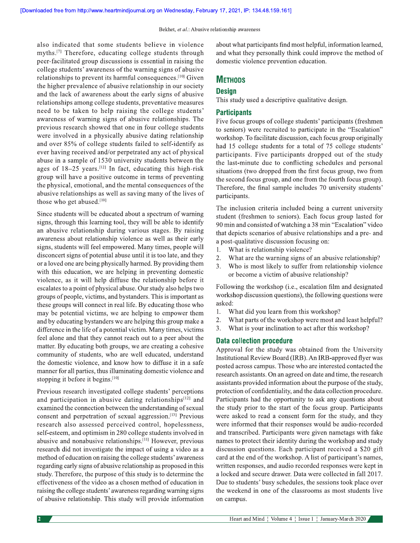also indicated that some students believe in violence myths.<sup>[7]</sup> Therefore, educating college students through peer-facilitated group discussions is essential in raising the college students' awareness of the warning signs of abusive relationships to prevent its harmful consequences.<sup>[10]</sup> Given the higher prevalence of abusive relationship in our society and the lack of awareness about the early signs of abusive relationships among college students, preventative measures need to be taken to help raising the college students' awareness of warning signs of abusive relationships. The previous research showed that one in four college students were involved in a physically abusive dating relationship and over 85% of college students failed to self-identify as ever having received and/or perpetrated any act of physical abuse in a sample of 1530 university students between the ages of  $18-25$  years.<sup>[12]</sup> In fact, educating this high-risk group will have a positive outcome in terms of preventing the physical, emotional, and the mental consequences of the abusive relationships as well as saving many of the lives of those who get abused.[10]

Since students will be educated about a spectrum of warning signs, through this learning tool, they will be able to identify an abusive relationship during various stages. By raising awareness about relationship violence as well as their early signs, students will feel empowered. Many times, people will disconcert signs of potential abuse until it is too late, and they or a loved one are being physically harmed. By providing them with this education, we are helping in preventing domestic violence, as it will help diffuse the relationship before it escalates to a point of physical abuse. Our study also helps two groups of people, victims, and bystanders. This is important as these groups will connect in real life. By educating those who may be potential victims, we are helping to empower them and by educating bystanders we are helping this group make a difference in the life of a potential victim. Many times, victims feel alone and that they cannot reach out to a peer about the matter. By educating both groups, we are creating a cohesive community of students, who are well educated, understand the domestic violence, and know how to diffuse it in a safe manner for all parties, thus illuminating domestic violence and stopping it before it begins.[10]

Previous research investigated college students' perceptions and participation in abusive dating relationships<sup>[12]</sup> and examined the connection between the understanding of sexual consent and perpetration of sexual aggression.<sup>[13]</sup> Previous research also assessed perceived control, hopelessness, self-esteem, and optimism in 280 college students involved in abusive and nonabusive relationships.<sup>[11]</sup> However, previous research did not investigate the impact of using a video as a method of education on raising the college students' awareness regarding early signs of abusive relationship as proposed in this study. Therefore, the purpose of this study is to determine the effectiveness of the video as a chosen method of education in raising the college students' awareness regarding warning signs of abusive relationship. This study will provide information about what participants find most helpful, information learned, and what they personally think could improve the method of domestic violence prevention education.

## **METHODS**

## **Design**

This study used a descriptive qualitative design.

## **Participants**

Five focus groups of college students' participants (freshmen to seniors) were recruited to participate in the "Escalation" workshop. To facilitate discussion, each focus group originally had 15 college students for a total of 75 college students' participants. Five participants dropped out of the study the last-minute due to conflicting schedules and personal situations (two dropped from the first focus group, two from the second focus group, and one from the fourth focus group). Therefore, the final sample includes 70 university students' participants.

The inclusion criteria included being a current university student (freshmen to seniors). Each focus group lasted for 90 min and consisted of watching a 38 min "Escalation" video that depicts scenarios of abusive relationships and a pre- and a post-qualitative discussion focusing on:

- $1.$ What is relationship violence?
- $2.$ What are the warning signs of an abusive relationship?
- $3.$ Who is most likely to suffer from relationship violence or become a victim of abusive relationship?

Following the workshop (i.e., escalation film and designated workshop discussion questions), the following questions were asked:

- $\mathbf{1}$ . What did you learn from this workshop?
- 2. What parts of the workshop were most and least helpful?
- $\overline{3}$ . What is your inclination to act after this workshop?

## **Data collection procedure**

Approval for the study was obtained from the University Institutional Review Board (IRB). An IRB-approved flyer was posted across campus. Those who are interested contacted the research assistants. On an agreed on date and time, the research assistants provided information about the purpose of the study, protection of confidentiality, and the data collection procedure. Participants had the opportunity to ask any questions about the study prior to the start of the focus group. Participants were asked to read a consent form for the study, and they were informed that their responses would be audio-recorded and transcribed. Participants were given nametags with fake names to protect their identity during the workshop and study discussion questions. Each participant received a \$20 gift card at the end of the workshop. A list of participant's names, written responses, and audio recorded responses were kept in a locked and secure drawer. Data were collected in fall 2017. Due to students' busy schedules, the sessions took place over the weekend in one of the classrooms as most students live on campus.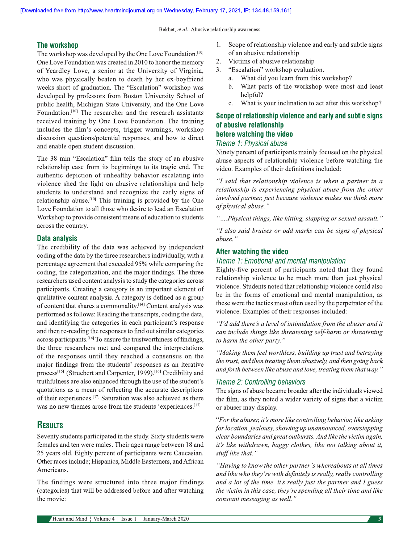## The workshop

The workshop was developed by the One Love Foundation.<sup>[10]</sup> One Love Foundation was created in 2010 to honor the memory of Yeardley Love, a senior at the University of Virginia, who was physically beaten to death by her ex-boyfriend weeks short of graduation. The "Escalation" workshop was developed by professors from Boston University School of public health, Michigan State University, and the One Love Foundation.<sup>[10]</sup> The researcher and the research assistants received training by One Love Foundation. The training includes the film's concepts, trigger warnings, workshop discussion questions/potential responses, and how to direct and enable open student discussion.

The 38 min "Escalation" film tells the story of an abusive relationship case from its beginnings to its tragic end. The authentic depiction of unhealthy behavior escalating into violence shed the light on abusive relationships and help students to understand and recognize the early signs of relationship abuse.<sup>[10]</sup> This training is provided by the One Love Foundation to all those who desire to lead an Escalation Workshop to provide consistent means of education to students across the country.

#### **Data analysis**

The credibility of the data was achieved by independent coding of the data by the three researchers individually, with a percentage agreement that exceeded 95% while comparing the coding, the categorization, and the major findings. The three researchers used content analysis to study the categories across participants. Creating a category is an important element of qualitative content analysis. A category is defined as a group of content that shares a commonality.<sup>[14]</sup> Content analysis was performed as follows: Reading the transcripts, coding the data, and identifying the categories in each participant's response and then re-reading the responses to find out similar categories across participants.<sup>[14]</sup> To ensure the trustworthiness of findings, the three researchers met and compared the interpretations of the responses until they reached a consensus on the major findings from the students' responses as an iterative process<sup>[15]</sup> (Struebert and Carpenter, 1999).<sup>[16]</sup> Credibility and truthfulness are also enhanced through the use of the student's quotations as a mean of reflecting the accurate descriptions of their experiences.<sup>[17]</sup> Saturation was also achieved as there was no new themes arose from the students 'experiences.<sup>[17]</sup>

# **RESULTS**

Seventy students participated in the study. Sixty students were females and ten were males. Their ages range between 18 and 25 years old. Eighty percent of participants were Caucasian. Other races include; Hispanics, Middle Easterners, and African Americans.

The findings were structured into three major findings (categories) that will be addressed before and after watching the movie:

- Scope of relationship violence and early and subtle signs 1. of an abusive relationship
- 2. Victims of abusive relationship
- "Escalation" workshop evaluation.  $3<sub>1</sub>$ 
	- a. What did you learn from this workshop?
	- What parts of the workshop were most and least  $h_{-}$ helpful?
	- What is your inclination to act after this workshop?  $\mathbf{c}$ .

## Scope of relationship violence and early and subtle signs of abusive relationship before watching the video

#### Theme 1: Physical abuse

Ninety percent of participants mainly focused on the physical abuse aspects of relationship violence before watching the video. Examples of their definitions included:

"I said that relationship violence is when a partner in a relationship is experiencing physical abuse from the other involved partner, just because violence makes me think more of physical abuse."

"....Physical things, like hitting, slapping or sexual assault."

"I also said bruises or odd marks can be signs of physical abuse."

## After watching the video

### Theme 1: Emotional and mental manipulation

Eighty-five percent of participants noted that they found relationship violence to be much more than just physical violence. Students noted that relationship violence could also be in the forms of emotional and mental manipulation, as these were the tactics most often used by the perpetrator of the violence. Examples of their responses included:

"I'd add there's a level of intimidation from the abuser and it can include things like threatening self-harm or threatening to harm the other party."

"Making them feel worthless, building up trust and betraying the trust, and then treating them abusively, and then going back and forth between like abuse and love, treating them that way."

## Theme 2: Controlling behaviors

The signs of abuse became broader after the individuals viewed the film, as they noted a wider variety of signs that a victim or abuser may display.

"For the abuser, it's more like controlling behavior, like asking for location, jealousy, showing up unannounced, overstepping clear boundaries and great outbursts. And like the victim again, it's like withdrawn, baggy clothes, like not talking about it, stuff like that."

"Having to know the other partner's whereabouts at all times and like who they're with definitely is really, really controlling and a lot of the time, it's really just the partner and I guess the victim in this case, they're spending all their time and like constant messaging as well."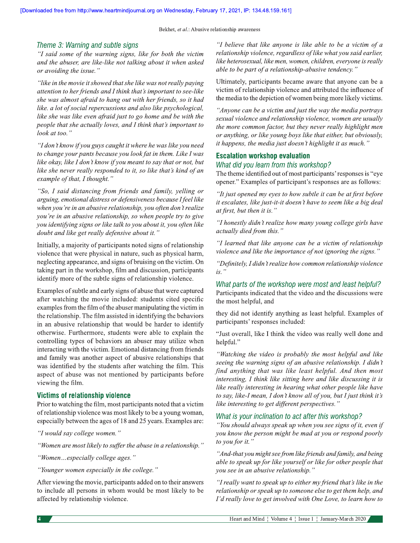#### Theme 3: Warning and subtle signs

"I said some of the warning signs, like for both the victim and the abuser, are like-like not talking about it when asked or avoiding the issue."

"like in the movie it showed that she like was not really paying attention to her friends and I think that's important to see-like she was almost afraid to hang out with her friends, so it had like. a lot of social repercussions and also like psychological, like she was like even afraid just to go home and be with the people that she actually loves, and I think that's important to look at too."

"I don't know if you guys caught it where he was like you need to change your pants because you look fat in them. Like I was like okay, like I don't know if you meant to say that or not, but like she never really responded to it, so like that's kind of an example of that, I thought."

"So, I said distancing from friends and family, yelling or arguing, emotional distress or defensiveness because I feel like when you're in an abusive relationship, you often don't realize you're in an abusive relationship, so when people try to give you identifying signs or like talk to you about it, you often like doubt and like get really defensive about it."

Initially, a majority of participants noted signs of relationship violence that were physical in nature, such as physical harm, neglecting appearance, and signs of bruising on the victim. On taking part in the workshop, film and discussion, participants identify more of the subtle signs of relationship violence.

Examples of subtle and early signs of abuse that were captured after watching the movie included: students cited specific examples from the film of the abuser manipulating the victim in the relationship. The film assisted in identifying the behaviors in an abusive relationship that would be harder to identify otherwise. Furthermore, students were able to explain the controlling types of behaviors an abuser may utilize when interacting with the victim. Emotional distancing from friends and family was another aspect of abusive relationships that was identified by the students after watching the film. This aspect of abuse was not mentioned by participants before viewing the film.

#### Victims of relationship violence

Prior to watching the film, most participants noted that a victim of relationship violence was most likely to be a young woman, especially between the ages of 18 and 25 years. Examples are:

"I would say college women."

"Women are most likely to suffer the abuse in a relationship."

"Women...especially college ages."

"Younger women especially in the college."

After viewing the movie, participants added on to their answers to include all persons in whom would be most likely to be affected by relationship violence.

"I believe that like anyone is like able to be a victim of a relationship violence, regardless of like what you said earlier, like heterosexual, like men, women, children, everyone is really able to be part of a relationship-abusive tendency."

Ultimately, participants became aware that anyone can be a victim of relationship violence and attributed the influence of the media to the depiction of women being more likely victims.

"Anyone can be a victim and just the way the media portrays" sexual violence and relationship violence, women are usually the more common factor, but they never really highlight men or anything, or like young boys like that either, but obviously, it happens, the media just doesn't highlight it as much."

#### **Escalation workshop evaluation**

#### What did you learn from this workshop?

The theme identified out of most participants' responses is "eye" opener." Examples of participant's responses are as follows:

"It just opened my eyes to how subtle it can be at first before it escalates, like just-it-it doesn't have to seem like a big deal at first, but then it is."

"I honestly didn't realize how many young college girls have actually died from this."

"I learned that like anyone can be a victim of relationship violence and like the importance of not ignoring the signs."

"Definitely, I didn't realize how common relationship violence  $is.$ "

#### What parts of the workshop were most and least helpful?

Participants indicated that the video and the discussions were the most helpful, and

they did not identify anything as least helpful. Examples of participants' responses included:

"Just overall, like I think the video was really well done and helpful."

"Watching the video is probably the most helpful and like seeing the warning signs of an abusive relationship. I didn't find anything that was like least helpful. And then most interesting, I think like sitting here and like discussing it is like really interesting in hearing what other people like have to say, like-I mean, I don't know all of you, but I just think it's like interesting to get different perspectives."

#### What is your inclination to act after this workshop?

"You should always speak up when you see signs of it, even if you know the person might be mad at you or respond poorly to you for it.'

"And-that you might see from like friends and family, and being able to speak up for like yourself or like for other people that you see in an abusive relationship."

"I really want to speak up to either my friend that's like in the relationship or speak up to someone else to get them help, and I'd really love to get involved with One Love, to learn how to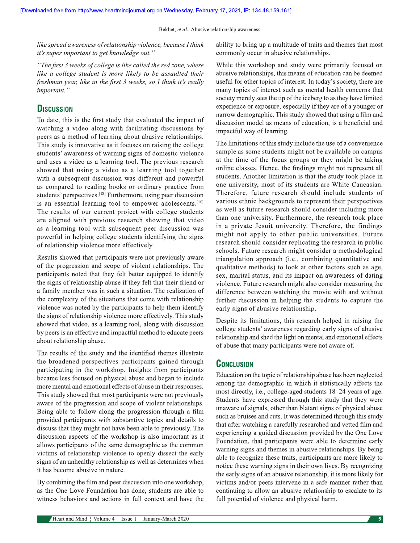like spread awareness of relationship violence, because I think it's super important to get knowledge out."

"The first 3 weeks of college is like called the red zone, where like a college student is more likely to be assaulted their freshman year, like in the first 3 weeks, so I think it's really important."

# **DISCUSSION**

To date, this is the first study that evaluated the impact of watching a video along with facilitating discussions by peers as a method of learning about abusive relationships. This study is innovative as it focuses on raising the college students' awareness of warning signs of domestic violence and uses a video as a learning tool. The previous research showed that using a video as a learning tool together with a subsequent discussion was different and powerful as compared to reading books or ordinary practice from students' perspectives.<sup>[18]</sup> Furthermore, using peer discussion is an essential learning tool to empower adolescents.[10] The results of our current project with college students are aligned with previous research showing that video as a learning tool with subsequent peer discussion was powerful in helping college students identifying the signs of relationship violence more effectively.

Results showed that participants were not previously aware of the progression and scope of violent relationships. The participants noted that they felt better equipped to identify the signs of relationship abuse if they felt that their friend or a family member was in such a situation. The realization of the complexity of the situations that come with relationship violence was noted by the participants to help them identify the signs of relationship violence more effectively. This study showed that video, as a learning tool, along with discussion by peers is an effective and impactful method to educate peers about relationship abuse.

The results of the study and the identified themes illustrate the broadened perspectives participants gained through participating in the workshop. Insights from participants became less focused on physical abuse and began to include more mental and emotional effects of abuse in their responses. This study showed that most participants were not previously aware of the progression and scope of violent relationships. Being able to follow along the progression through a film provided participants with substantive topics and details to discuss that they might not have been able to previously. The discussion aspects of the workshop is also important as it allows participants of the same demographic as the common victims of relationship violence to openly dissect the early signs of an unhealthy relationship as well as determines when it has become abusive in nature.

By combining the film and peer discussion into one workshop, as the One Love Foundation has done, students are able to witness behaviors and actions in full context and have the commonly occur in abusive relationships.

experience or exposure, especially if they are of a younger or narrow demographic. This study showed that using a film and discussion model as means of education, is a beneficial and impactful way of learning.

ability to bring up a multitude of traits and themes that most

While this workshop and study were primarily focused on

abusive relationships, this means of education can be deemed useful for other topics of interest. In today's society, there are

many topics of interest such as mental health concerns that

The limitations of this study include the use of a convenience sample as some students might not be available on campus at the time of the focus groups or they might be taking online classes. Hence, the findings might not represent all students. Another limitation is that the study took place in one university, most of its students are White Caucasian. Therefore, future research should include students of various ethnic backgrounds to represent their perspectives as well as future research should consider including more than one university. Furthermore, the research took place in a private Jesuit university. Therefore, the findings might not apply to other public universities. Future research should consider replicating the research in public schools. Future research might consider a methodological triangulation approach (i.e., combining quantitative and qualitative methods) to look at other factors such as age, sex, marital status, and its impact on awareness of dating violence. Future research might also consider measuring the difference between watching the movie with and without further discussion in helping the students to capture the early signs of abusive relationship.

Despite its limitations, this research helped in raising the college students' awareness regarding early signs of abusive relationship and shed the light on mental and emotional effects of abuse that many participants were not aware of.

## **CONCLUSION**

Education on the topic of relationship abuse has been neglected among the demographic in which it statistically affects the most directly, i.e., college-aged students 18–24 years of age. Students have expressed through this study that they were unaware of signals, other than blatant signs of physical abuse such as bruises and cuts. It was determined through this study that after watching a carefully researched and vetted film and experiencing a guided discussion provided by the One Love Foundation, that participants were able to determine early warning signs and themes in abusive relationships. By being able to recognize these traits, participants are more likely to notice these warning signs in their own lives. By recognizing the early signs of an abusive relationship, it is more likely for victims and/or peers intervene in a safe manner rather than continuing to allow an abusive relationship to escalate to its full potential of violence and physical harm.